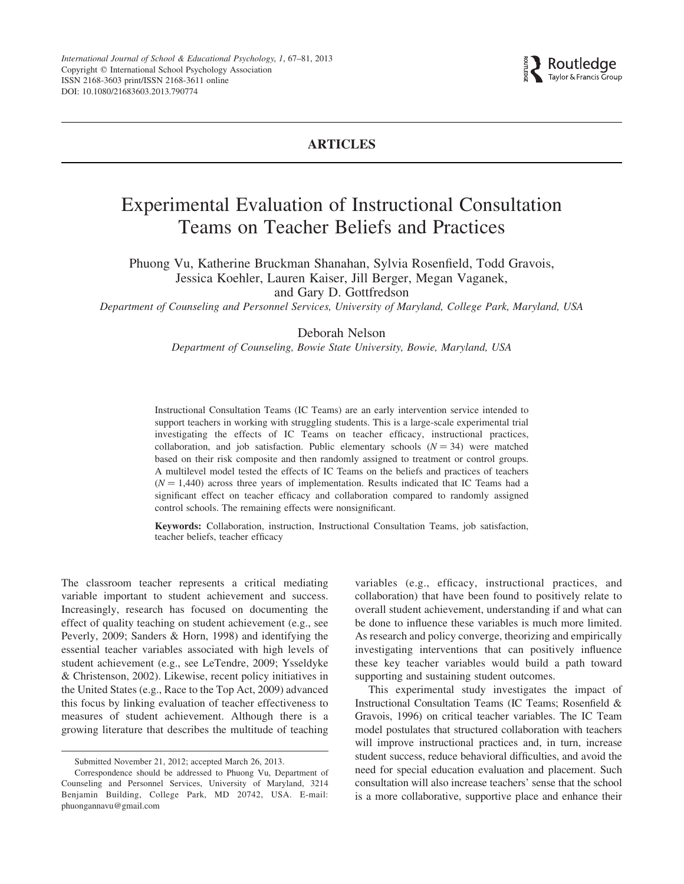

# ARTICLES

# Experimental Evaluation of Instructional Consultation Teams on Teacher Beliefs and Practices

Phuong Vu, Katherine Bruckman Shanahan, Sylvia Rosenfield, Todd Gravois, Jessica Koehler, Lauren Kaiser, Jill Berger, Megan Vaganek,

and Gary D. Gottfredson

Department of Counseling and Personnel Services, University of Maryland, College Park, Maryland, USA

# Deborah Nelson

Department of Counseling, Bowie State University, Bowie, Maryland, USA

Instructional Consultation Teams (IC Teams) are an early intervention service intended to support teachers in working with struggling students. This is a large-scale experimental trial investigating the effects of IC Teams on teacher efficacy, instructional practices, collaboration, and job satisfaction. Public elementary schools  $(N = 34)$  were matched based on their risk composite and then randomly assigned to treatment or control groups. A multilevel model tested the effects of IC Teams on the beliefs and practices of teachers  $(N = 1,440)$  across three years of implementation. Results indicated that IC Teams had a significant effect on teacher efficacy and collaboration compared to randomly assigned control schools. The remaining effects were nonsignificant.

Keywords: Collaboration, instruction, Instructional Consultation Teams, job satisfaction, teacher beliefs, teacher efficacy

The classroom teacher represents a critical mediating variable important to student achievement and success. Increasingly, research has focused on documenting the effect of quality teaching on student achievement (e.g., see Peverly, 2009; Sanders & Horn, 1998) and identifying the essential teacher variables associated with high levels of student achievement (e.g., see LeTendre, 2009; Ysseldyke & Christenson, 2002). Likewise, recent policy initiatives in the United States (e.g., Race to the Top Act, 2009) advanced this focus by linking evaluation of teacher effectiveness to measures of student achievement. Although there is a growing literature that describes the multitude of teaching

variables (e.g., efficacy, instructional practices, and collaboration) that have been found to positively relate to overall student achievement, understanding if and what can be done to influence these variables is much more limited. As research and policy converge, theorizing and empirically investigating interventions that can positively influence these key teacher variables would build a path toward supporting and sustaining student outcomes.

This experimental study investigates the impact of Instructional Consultation Teams (IC Teams; Rosenfield & Gravois, 1996) on critical teacher variables. The IC Team model postulates that structured collaboration with teachers will improve instructional practices and, in turn, increase student success, reduce behavioral difficulties, and avoid the need for special education evaluation and placement. Such consultation will also increase teachers' sense that the school is a more collaborative, supportive place and enhance their

Submitted November 21, 2012; accepted March 26, 2013.

Correspondence should be addressed to Phuong Vu, Department of Counseling and Personnel Services, University of Maryland, 3214 Benjamin Building, College Park, MD 20742, USA. E-mail: phuongannavu@gmail.com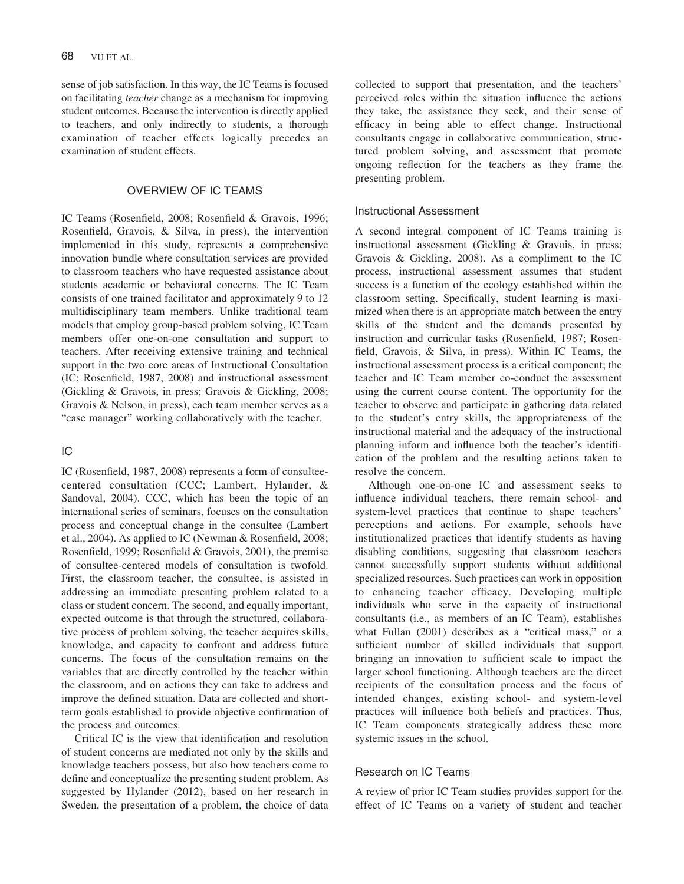sense of job satisfaction. In this way, the IC Teams is focused on facilitating teacher change as a mechanism for improving student outcomes. Because the intervention is directly applied to teachers, and only indirectly to students, a thorough examination of teacher effects logically precedes an examination of student effects.

# OVERVIEW OF IC TEAMS

IC Teams (Rosenfield, 2008; Rosenfield & Gravois, 1996; Rosenfield, Gravois, & Silva, in press), the intervention implemented in this study, represents a comprehensive innovation bundle where consultation services are provided to classroom teachers who have requested assistance about students academic or behavioral concerns. The IC Team consists of one trained facilitator and approximately 9 to 12 multidisciplinary team members. Unlike traditional team models that employ group-based problem solving, IC Team members offer one-on-one consultation and support to teachers. After receiving extensive training and technical support in the two core areas of Instructional Consultation (IC; Rosenfield, 1987, 2008) and instructional assessment (Gickling & Gravois, in press; Gravois & Gickling, 2008; Gravois & Nelson, in press), each team member serves as a "case manager" working collaboratively with the teacher.

# IC

IC (Rosenfield, 1987, 2008) represents a form of consulteecentered consultation (CCC; Lambert, Hylander, & Sandoval, 2004). CCC, which has been the topic of an international series of seminars, focuses on the consultation process and conceptual change in the consultee (Lambert et al., 2004). As applied to IC (Newman & Rosenfield, 2008; Rosenfield, 1999; Rosenfield & Gravois, 2001), the premise of consultee-centered models of consultation is twofold. First, the classroom teacher, the consultee, is assisted in addressing an immediate presenting problem related to a class or student concern. The second, and equally important, expected outcome is that through the structured, collaborative process of problem solving, the teacher acquires skills, knowledge, and capacity to confront and address future concerns. The focus of the consultation remains on the variables that are directly controlled by the teacher within the classroom, and on actions they can take to address and improve the defined situation. Data are collected and shortterm goals established to provide objective confirmation of the process and outcomes.

Critical IC is the view that identification and resolution of student concerns are mediated not only by the skills and knowledge teachers possess, but also how teachers come to define and conceptualize the presenting student problem. As suggested by Hylander (2012), based on her research in Sweden, the presentation of a problem, the choice of data collected to support that presentation, and the teachers' perceived roles within the situation influence the actions they take, the assistance they seek, and their sense of efficacy in being able to effect change. Instructional consultants engage in collaborative communication, structured problem solving, and assessment that promote ongoing reflection for the teachers as they frame the presenting problem.

#### Instructional Assessment

A second integral component of IC Teams training is instructional assessment (Gickling & Gravois, in press; Gravois & Gickling, 2008). As a compliment to the IC process, instructional assessment assumes that student success is a function of the ecology established within the classroom setting. Specifically, student learning is maximized when there is an appropriate match between the entry skills of the student and the demands presented by instruction and curricular tasks (Rosenfield, 1987; Rosenfield, Gravois, & Silva, in press). Within IC Teams, the instructional assessment process is a critical component; the teacher and IC Team member co-conduct the assessment using the current course content. The opportunity for the teacher to observe and participate in gathering data related to the student's entry skills, the appropriateness of the instructional material and the adequacy of the instructional planning inform and influence both the teacher's identification of the problem and the resulting actions taken to resolve the concern.

Although one-on-one IC and assessment seeks to influence individual teachers, there remain school- and system-level practices that continue to shape teachers' perceptions and actions. For example, schools have institutionalized practices that identify students as having disabling conditions, suggesting that classroom teachers cannot successfully support students without additional specialized resources. Such practices can work in opposition to enhancing teacher efficacy. Developing multiple individuals who serve in the capacity of instructional consultants (i.e., as members of an IC Team), establishes what Fullan (2001) describes as a "critical mass," or a sufficient number of skilled individuals that support bringing an innovation to sufficient scale to impact the larger school functioning. Although teachers are the direct recipients of the consultation process and the focus of intended changes, existing school- and system-level practices will influence both beliefs and practices. Thus, IC Team components strategically address these more systemic issues in the school.

#### Research on IC Teams

A review of prior IC Team studies provides support for the effect of IC Teams on a variety of student and teacher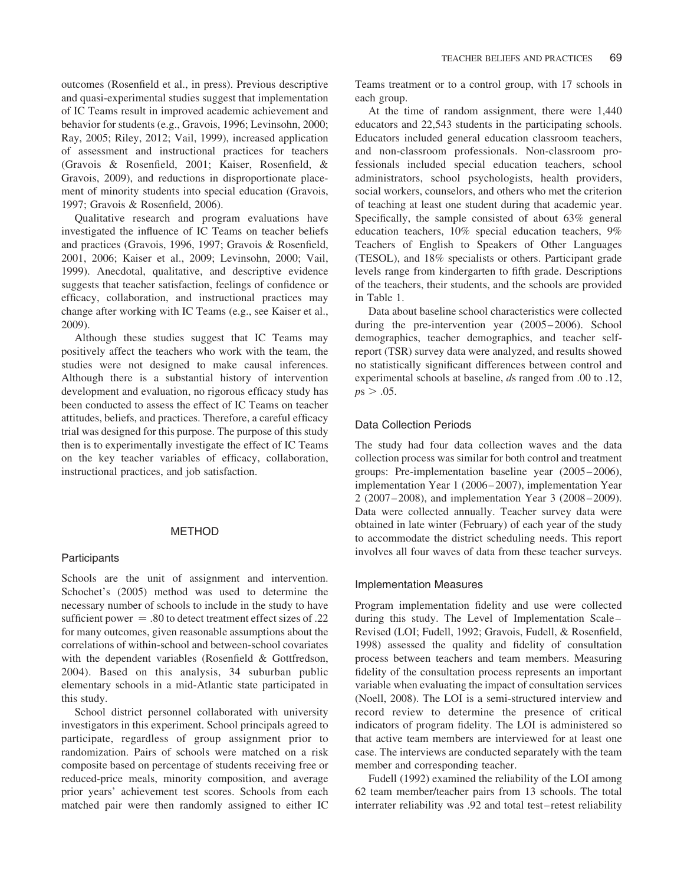outcomes (Rosenfield et al., in press). Previous descriptive and quasi-experimental studies suggest that implementation of IC Teams result in improved academic achievement and behavior for students (e.g., Gravois, 1996; Levinsohn, 2000; Ray, 2005; Riley, 2012; Vail, 1999), increased application of assessment and instructional practices for teachers (Gravois & Rosenfield, 2001; Kaiser, Rosenfield, & Gravois, 2009), and reductions in disproportionate placement of minority students into special education (Gravois, 1997; Gravois & Rosenfield, 2006).

Qualitative research and program evaluations have investigated the influence of IC Teams on teacher beliefs and practices (Gravois, 1996, 1997; Gravois & Rosenfield, 2001, 2006; Kaiser et al., 2009; Levinsohn, 2000; Vail, 1999). Anecdotal, qualitative, and descriptive evidence suggests that teacher satisfaction, feelings of confidence or efficacy, collaboration, and instructional practices may change after working with IC Teams (e.g., see Kaiser et al., 2009).

Although these studies suggest that IC Teams may positively affect the teachers who work with the team, the studies were not designed to make causal inferences. Although there is a substantial history of intervention development and evaluation, no rigorous efficacy study has been conducted to assess the effect of IC Teams on teacher attitudes, beliefs, and practices. Therefore, a careful efficacy trial was designed for this purpose. The purpose of this study then is to experimentally investigate the effect of IC Teams on the key teacher variables of efficacy, collaboration, instructional practices, and job satisfaction.

## METHOD

## **Participants**

Schools are the unit of assignment and intervention. Schochet's (2005) method was used to determine the necessary number of schools to include in the study to have sufficient power  $= .80$  to detect treatment effect sizes of .22 for many outcomes, given reasonable assumptions about the correlations of within-school and between-school covariates with the dependent variables (Rosenfield & Gottfredson, 2004). Based on this analysis, 34 suburban public elementary schools in a mid-Atlantic state participated in this study.

School district personnel collaborated with university investigators in this experiment. School principals agreed to participate, regardless of group assignment prior to randomization. Pairs of schools were matched on a risk composite based on percentage of students receiving free or reduced-price meals, minority composition, and average prior years' achievement test scores. Schools from each matched pair were then randomly assigned to either IC Teams treatment or to a control group, with 17 schools in each group.

At the time of random assignment, there were 1,440 educators and 22,543 students in the participating schools. Educators included general education classroom teachers, and non-classroom professionals. Non-classroom professionals included special education teachers, school administrators, school psychologists, health providers, social workers, counselors, and others who met the criterion of teaching at least one student during that academic year. Specifically, the sample consisted of about 63% general education teachers, 10% special education teachers, 9% Teachers of English to Speakers of Other Languages (TESOL), and 18% specialists or others. Participant grade levels range from kindergarten to fifth grade. Descriptions of the teachers, their students, and the schools are provided in Table 1.

Data about baseline school characteristics were collected during the pre-intervention year (2005–2006). School demographics, teacher demographics, and teacher selfreport (TSR) survey data were analyzed, and results showed no statistically significant differences between control and experimental schools at baseline, ds ranged from .00 to .12,  $ps > .05$ .

# Data Collection Periods

The study had four data collection waves and the data collection process was similar for both control and treatment groups: Pre-implementation baseline year (2005 – 2006), implementation Year 1 (2006 – 2007), implementation Year 2 (2007 – 2008), and implementation Year 3 (2008 – 2009). Data were collected annually. Teacher survey data were obtained in late winter (February) of each year of the study to accommodate the district scheduling needs. This report involves all four waves of data from these teacher surveys.

## Implementation Measures

Program implementation fidelity and use were collected during this study. The Level of Implementation Scale– Revised (LOI; Fudell, 1992; Gravois, Fudell, & Rosenfield, 1998) assessed the quality and fidelity of consultation process between teachers and team members. Measuring fidelity of the consultation process represents an important variable when evaluating the impact of consultation services (Noell, 2008). The LOI is a semi-structured interview and record review to determine the presence of critical indicators of program fidelity. The LOI is administered so that active team members are interviewed for at least one case. The interviews are conducted separately with the team member and corresponding teacher.

Fudell (1992) examined the reliability of the LOI among 62 team member/teacher pairs from 13 schools. The total interrater reliability was .92 and total test-retest reliability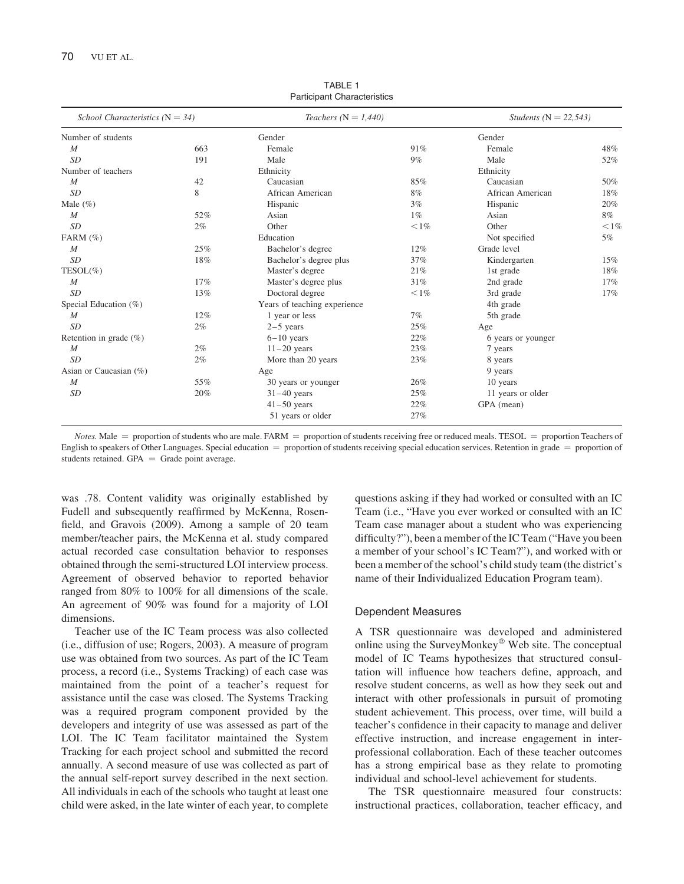| School Characteristics ( $N = 34$ ) |     | Teachers ( $N = 1,440$ )     | Students ( $N = 22,543$ ) |                    |         |  |
|-------------------------------------|-----|------------------------------|---------------------------|--------------------|---------|--|
| Number of students                  |     | Gender                       |                           | Gender             |         |  |
| $\overline{M}$                      | 663 | Female                       | 91%                       | Female             | 48%     |  |
| <b>SD</b>                           | 191 | Male                         | 9%                        | Male               | 52%     |  |
| Number of teachers                  |     | Ethnicity                    |                           | Ethnicity          |         |  |
| $\overline{M}$                      | 42  | Caucasian                    | 85%                       | Caucasian          | 50%     |  |
| SD                                  | 8   | African American             | 8%                        | African American   | 18%     |  |
| Male $(\% )$                        |     | Hispanic                     | 3%                        | Hispanic           | 20%     |  |
| $\boldsymbol{M}$                    | 52% | Asian                        | $1\%$                     | Asian              | 8%      |  |
| SD                                  | 2%  | Other                        | $< 1\%$                   | Other              | $< 1\%$ |  |
| FARM $(\% )$                        |     | Education                    |                           | Not specified      | 5%      |  |
| $\boldsymbol{M}$                    | 25% | Bachelor's degree            | 12%                       | Grade level        |         |  |
| SD                                  | 18% | Bachelor's degree plus       | 37%                       | Kindergarten       | 15%     |  |
| $TESOL(\%)$                         |     | Master's degree              | 21%                       | 1st grade          | 18%     |  |
| $\boldsymbol{M}$                    | 17% | Master's degree plus         | 31%                       | 2nd grade          | 17%     |  |
| SD                                  | 13% | Doctoral degree              | $< 1\%$                   | 3rd grade          | 17%     |  |
| Special Education $(\%)$            |     | Years of teaching experience |                           | 4th grade          |         |  |
| $\overline{M}$                      | 12% | 1 year or less               | 7%                        | 5th grade          |         |  |
| SD                                  | 2%  | $2-5$ years                  | 25%                       | Age                |         |  |
| Retention in grade (%)              |     | $6 - 10$ years               | 22%                       | 6 years or younger |         |  |
| $\boldsymbol{M}$                    | 2%  | $11-20$ years                | 23%                       | 7 years            |         |  |
| <b>SD</b>                           | 2%  | More than 20 years           | 23%                       | 8 years            |         |  |
| Asian or Caucasian (%)              |     | Age                          |                           | 9 years            |         |  |
| $\boldsymbol{M}$                    | 55% | 30 years or younger          | 26%                       | 10 years           |         |  |
| SD                                  | 20% | $31-40$ years                | 25%                       | 11 years or older  |         |  |
|                                     |     | $41-50$ years                | 22%                       | GPA (mean)         |         |  |
|                                     |     | 51 years or older            | 27%                       |                    |         |  |

TABLE 1 Participant Characteristics

 $Notes.$  Male  $=$  proportion of students who are male. FARM  $=$  proportion of students receiving free or reduced meals. TESOL  $=$  proportion Teachers of English to speakers of Other Languages. Special education  $=$  proportion of students receiving special education services. Retention in grade  $=$  proportion of students retained.  $GPA =$  Grade point average.

was .78. Content validity was originally established by Fudell and subsequently reaffirmed by McKenna, Rosenfield, and Gravois (2009). Among a sample of 20 team member/teacher pairs, the McKenna et al. study compared actual recorded case consultation behavior to responses obtained through the semi-structured LOI interview process. Agreement of observed behavior to reported behavior ranged from 80% to 100% for all dimensions of the scale. An agreement of 90% was found for a majority of LOI dimensions.

Teacher use of the IC Team process was also collected (i.e., diffusion of use; Rogers, 2003). A measure of program use was obtained from two sources. As part of the IC Team process, a record (i.e., Systems Tracking) of each case was maintained from the point of a teacher's request for assistance until the case was closed. The Systems Tracking was a required program component provided by the developers and integrity of use was assessed as part of the LOI. The IC Team facilitator maintained the System Tracking for each project school and submitted the record annually. A second measure of use was collected as part of the annual self-report survey described in the next section. All individuals in each of the schools who taught at least one child were asked, in the late winter of each year, to complete

questions asking if they had worked or consulted with an IC Team (i.e., "Have you ever worked or consulted with an IC Team case manager about a student who was experiencing difficulty?"), been a member of the IC Team ("Have you been a member of your school's IC Team?"), and worked with or been a member of the school's child study team (the district's name of their Individualized Education Program team).

## Dependent Measures

A TSR questionnaire was developed and administered online using the SurveyMonkey $^{\circledR}$  Web site. The conceptual model of IC Teams hypothesizes that structured consultation will influence how teachers define, approach, and resolve student concerns, as well as how they seek out and interact with other professionals in pursuit of promoting student achievement. This process, over time, will build a teacher's confidence in their capacity to manage and deliver effective instruction, and increase engagement in interprofessional collaboration. Each of these teacher outcomes has a strong empirical base as they relate to promoting individual and school-level achievement for students.

The TSR questionnaire measured four constructs: instructional practices, collaboration, teacher efficacy, and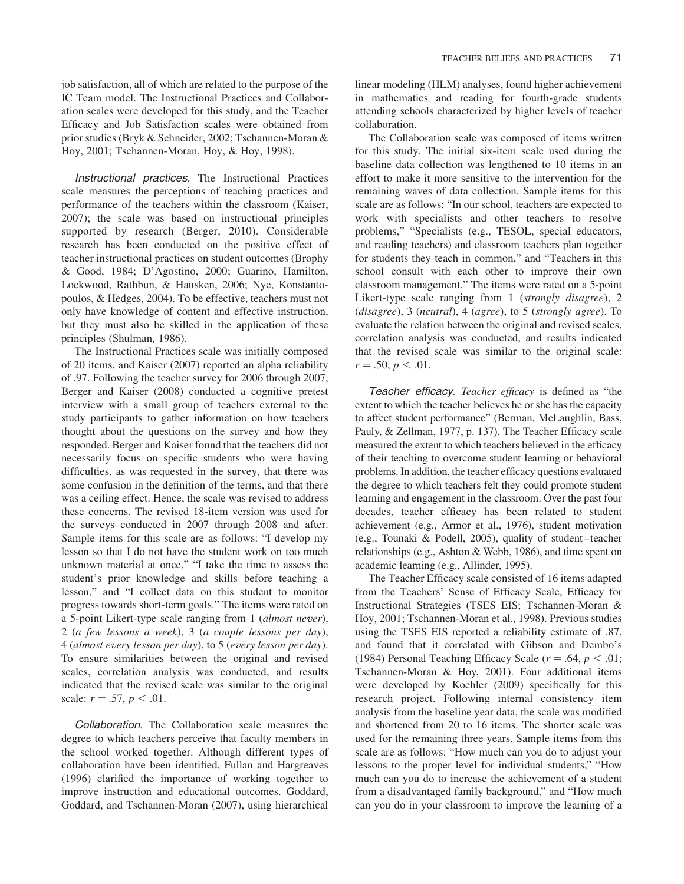job satisfaction, all of which are related to the purpose of the IC Team model. The Instructional Practices and Collaboration scales were developed for this study, and the Teacher Efficacy and Job Satisfaction scales were obtained from prior studies (Bryk & Schneider, 2002; Tschannen-Moran & Hoy, 2001; Tschannen-Moran, Hoy, & Hoy, 1998).

Instructional practices. The Instructional Practices scale measures the perceptions of teaching practices and performance of the teachers within the classroom (Kaiser, 2007); the scale was based on instructional principles supported by research (Berger, 2010). Considerable research has been conducted on the positive effect of teacher instructional practices on student outcomes (Brophy & Good, 1984; D'Agostino, 2000; Guarino, Hamilton, Lockwood, Rathbun, & Hausken, 2006; Nye, Konstantopoulos, & Hedges, 2004). To be effective, teachers must not only have knowledge of content and effective instruction, but they must also be skilled in the application of these principles (Shulman, 1986).

The Instructional Practices scale was initially composed of 20 items, and Kaiser (2007) reported an alpha reliability of .97. Following the teacher survey for 2006 through 2007, Berger and Kaiser (2008) conducted a cognitive pretest interview with a small group of teachers external to the study participants to gather information on how teachers thought about the questions on the survey and how they responded. Berger and Kaiser found that the teachers did not necessarily focus on specific students who were having difficulties, as was requested in the survey, that there was some confusion in the definition of the terms, and that there was a ceiling effect. Hence, the scale was revised to address these concerns. The revised 18-item version was used for the surveys conducted in 2007 through 2008 and after. Sample items for this scale are as follows: "I develop my lesson so that I do not have the student work on too much unknown material at once," "I take the time to assess the student's prior knowledge and skills before teaching a lesson," and "I collect data on this student to monitor progress towards short-term goals." The items were rated on a 5-point Likert-type scale ranging from 1 (almost never), 2 (a few lessons a week), 3 (a couple lessons per day), 4 (almost every lesson per day), to 5 (every lesson per day). To ensure similarities between the original and revised scales, correlation analysis was conducted, and results indicated that the revised scale was similar to the original scale:  $r = .57$ ,  $p < .01$ .

Collaboration. The Collaboration scale measures the degree to which teachers perceive that faculty members in the school worked together. Although different types of collaboration have been identified, Fullan and Hargreaves (1996) clarified the importance of working together to improve instruction and educational outcomes. Goddard, Goddard, and Tschannen-Moran (2007), using hierarchical

linear modeling (HLM) analyses, found higher achievement in mathematics and reading for fourth-grade students attending schools characterized by higher levels of teacher collaboration.

The Collaboration scale was composed of items written for this study. The initial six-item scale used during the baseline data collection was lengthened to 10 items in an effort to make it more sensitive to the intervention for the remaining waves of data collection. Sample items for this scale are as follows: "In our school, teachers are expected to work with specialists and other teachers to resolve problems," "Specialists (e.g., TESOL, special educators, and reading teachers) and classroom teachers plan together for students they teach in common," and "Teachers in this school consult with each other to improve their own classroom management." The items were rated on a 5-point Likert-type scale ranging from 1 (strongly disagree), 2 (disagree), 3 (neutral), 4 (agree), to 5 (strongly agree). To evaluate the relation between the original and revised scales, correlation analysis was conducted, and results indicated that the revised scale was similar to the original scale:  $r = .50, p < .01.$ 

Teacher efficacy. Teacher efficacy is defined as "the extent to which the teacher believes he or she has the capacity to affect student performance" (Berman, McLaughlin, Bass, Pauly, & Zellman, 1977, p. 137). The Teacher Efficacy scale measured the extent to which teachers believed in the efficacy of their teaching to overcome student learning or behavioral problems. In addition, the teacher efficacy questions evaluated the degree to which teachers felt they could promote student learning and engagement in the classroom. Over the past four decades, teacher efficacy has been related to student achievement (e.g., Armor et al., 1976), student motivation (e.g., Tounaki & Podell, 2005), quality of student–teacher relationships (e.g., Ashton & Webb, 1986), and time spent on academic learning (e.g., Allinder, 1995).

The Teacher Efficacy scale consisted of 16 items adapted from the Teachers' Sense of Efficacy Scale, Efficacy for Instructional Strategies (TSES EIS; Tschannen-Moran & Hoy, 2001; Tschannen-Moran et al., 1998). Previous studies using the TSES EIS reported a reliability estimate of .87, and found that it correlated with Gibson and Dembo's (1984) Personal Teaching Efficacy Scale ( $r = .64$ ,  $p < .01$ ; Tschannen-Moran & Hoy, 2001). Four additional items were developed by Koehler (2009) specifically for this research project. Following internal consistency item analysis from the baseline year data, the scale was modified and shortened from 20 to 16 items. The shorter scale was used for the remaining three years. Sample items from this scale are as follows: "How much can you do to adjust your lessons to the proper level for individual students," "How much can you do to increase the achievement of a student from a disadvantaged family background," and "How much can you do in your classroom to improve the learning of a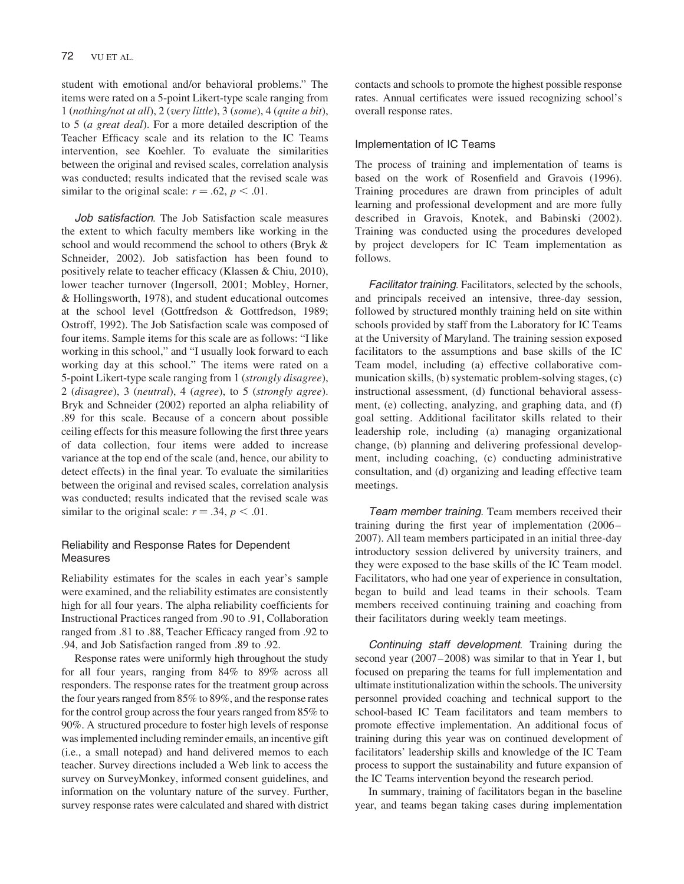student with emotional and/or behavioral problems." The items were rated on a 5-point Likert-type scale ranging from 1 (nothing/not at all), 2 (very little), 3 (some), 4 (quite a bit), to 5 (a great deal). For a more detailed description of the Teacher Efficacy scale and its relation to the IC Teams intervention, see Koehler. To evaluate the similarities between the original and revised scales, correlation analysis was conducted; results indicated that the revised scale was similar to the original scale:  $r = .62$ ,  $p < .01$ .

Job satisfaction. The Job Satisfaction scale measures the extent to which faculty members like working in the school and would recommend the school to others (Bryk & Schneider, 2002). Job satisfaction has been found to positively relate to teacher efficacy (Klassen & Chiu, 2010), lower teacher turnover (Ingersoll, 2001; Mobley, Horner, & Hollingsworth, 1978), and student educational outcomes at the school level (Gottfredson & Gottfredson, 1989; Ostroff, 1992). The Job Satisfaction scale was composed of four items. Sample items for this scale are as follows: "I like working in this school," and "I usually look forward to each working day at this school." The items were rated on a 5-point Likert-type scale ranging from 1 (strongly disagree), 2 (disagree), 3 (neutral), 4 (agree), to 5 (strongly agree). Bryk and Schneider (2002) reported an alpha reliability of .89 for this scale. Because of a concern about possible ceiling effects for this measure following the first three years of data collection, four items were added to increase variance at the top end of the scale (and, hence, our ability to detect effects) in the final year. To evaluate the similarities between the original and revised scales, correlation analysis was conducted; results indicated that the revised scale was similar to the original scale:  $r = .34$ ,  $p < .01$ .

# Reliability and Response Rates for Dependent Measures

Reliability estimates for the scales in each year's sample were examined, and the reliability estimates are consistently high for all four years. The alpha reliability coefficients for Instructional Practices ranged from .90 to .91, Collaboration ranged from .81 to .88, Teacher Efficacy ranged from .92 to .94, and Job Satisfaction ranged from .89 to .92.

Response rates were uniformly high throughout the study for all four years, ranging from 84% to 89% across all responders. The response rates for the treatment group across the four years ranged from 85% to 89%, and the response rates for the control group across the four years ranged from 85% to 90%. A structured procedure to foster high levels of response was implemented including reminder emails, an incentive gift (i.e., a small notepad) and hand delivered memos to each teacher. Survey directions included a Web link to access the survey on SurveyMonkey, informed consent guidelines, and information on the voluntary nature of the survey. Further, survey response rates were calculated and shared with district contacts and schools to promote the highest possible response rates. Annual certificates were issued recognizing school's overall response rates.

#### Implementation of IC Teams

The process of training and implementation of teams is based on the work of Rosenfield and Gravois (1996). Training procedures are drawn from principles of adult learning and professional development and are more fully described in Gravois, Knotek, and Babinski (2002). Training was conducted using the procedures developed by project developers for IC Team implementation as follows.

Facilitator training. Facilitators, selected by the schools, and principals received an intensive, three-day session, followed by structured monthly training held on site within schools provided by staff from the Laboratory for IC Teams at the University of Maryland. The training session exposed facilitators to the assumptions and base skills of the IC Team model, including (a) effective collaborative communication skills, (b) systematic problem-solving stages, (c) instructional assessment, (d) functional behavioral assessment, (e) collecting, analyzing, and graphing data, and (f) goal setting. Additional facilitator skills related to their leadership role, including (a) managing organizational change, (b) planning and delivering professional development, including coaching, (c) conducting administrative consultation, and (d) organizing and leading effective team meetings.

Team member training. Team members received their training during the first year of implementation (2006 – 2007). All team members participated in an initial three-day introductory session delivered by university trainers, and they were exposed to the base skills of the IC Team model. Facilitators, who had one year of experience in consultation, began to build and lead teams in their schools. Team members received continuing training and coaching from their facilitators during weekly team meetings.

Continuing staff development. Training during the second year (2007–2008) was similar to that in Year 1, but focused on preparing the teams for full implementation and ultimate institutionalization within the schools. The university personnel provided coaching and technical support to the school-based IC Team facilitators and team members to promote effective implementation. An additional focus of training during this year was on continued development of facilitators' leadership skills and knowledge of the IC Team process to support the sustainability and future expansion of the IC Teams intervention beyond the research period.

In summary, training of facilitators began in the baseline year, and teams began taking cases during implementation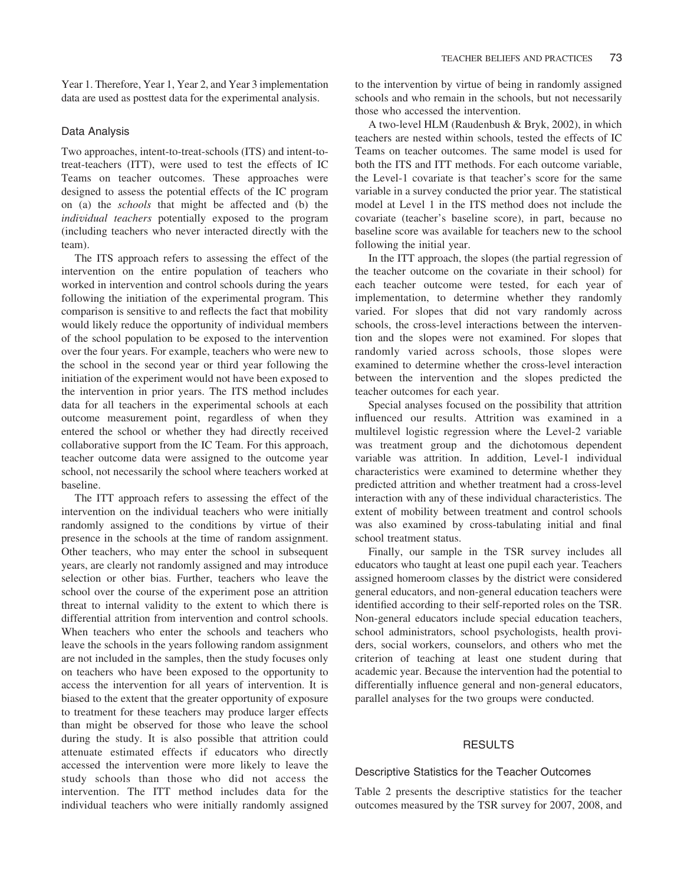Year 1. Therefore, Year 1, Year 2, and Year 3 implementation data are used as posttest data for the experimental analysis.

## Data Analysis

Two approaches, intent-to-treat-schools (ITS) and intent-totreat-teachers (ITT), were used to test the effects of IC Teams on teacher outcomes. These approaches were designed to assess the potential effects of the IC program on (a) the schools that might be affected and (b) the individual teachers potentially exposed to the program (including teachers who never interacted directly with the team).

The ITS approach refers to assessing the effect of the intervention on the entire population of teachers who worked in intervention and control schools during the years following the initiation of the experimental program. This comparison is sensitive to and reflects the fact that mobility would likely reduce the opportunity of individual members of the school population to be exposed to the intervention over the four years. For example, teachers who were new to the school in the second year or third year following the initiation of the experiment would not have been exposed to the intervention in prior years. The ITS method includes data for all teachers in the experimental schools at each outcome measurement point, regardless of when they entered the school or whether they had directly received collaborative support from the IC Team. For this approach, teacher outcome data were assigned to the outcome year school, not necessarily the school where teachers worked at baseline.

The ITT approach refers to assessing the effect of the intervention on the individual teachers who were initially randomly assigned to the conditions by virtue of their presence in the schools at the time of random assignment. Other teachers, who may enter the school in subsequent years, are clearly not randomly assigned and may introduce selection or other bias. Further, teachers who leave the school over the course of the experiment pose an attrition threat to internal validity to the extent to which there is differential attrition from intervention and control schools. When teachers who enter the schools and teachers who leave the schools in the years following random assignment are not included in the samples, then the study focuses only on teachers who have been exposed to the opportunity to access the intervention for all years of intervention. It is biased to the extent that the greater opportunity of exposure to treatment for these teachers may produce larger effects than might be observed for those who leave the school during the study. It is also possible that attrition could attenuate estimated effects if educators who directly accessed the intervention were more likely to leave the study schools than those who did not access the intervention. The ITT method includes data for the individual teachers who were initially randomly assigned

to the intervention by virtue of being in randomly assigned schools and who remain in the schools, but not necessarily those who accessed the intervention.

A two-level HLM (Raudenbush & Bryk, 2002), in which teachers are nested within schools, tested the effects of IC Teams on teacher outcomes. The same model is used for both the ITS and ITT methods. For each outcome variable, the Level-1 covariate is that teacher's score for the same variable in a survey conducted the prior year. The statistical model at Level 1 in the ITS method does not include the covariate (teacher's baseline score), in part, because no baseline score was available for teachers new to the school following the initial year.

In the ITT approach, the slopes (the partial regression of the teacher outcome on the covariate in their school) for each teacher outcome were tested, for each year of implementation, to determine whether they randomly varied. For slopes that did not vary randomly across schools, the cross-level interactions between the intervention and the slopes were not examined. For slopes that randomly varied across schools, those slopes were examined to determine whether the cross-level interaction between the intervention and the slopes predicted the teacher outcomes for each year.

Special analyses focused on the possibility that attrition influenced our results. Attrition was examined in a multilevel logistic regression where the Level-2 variable was treatment group and the dichotomous dependent variable was attrition. In addition, Level-1 individual characteristics were examined to determine whether they predicted attrition and whether treatment had a cross-level interaction with any of these individual characteristics. The extent of mobility between treatment and control schools was also examined by cross-tabulating initial and final school treatment status.

Finally, our sample in the TSR survey includes all educators who taught at least one pupil each year. Teachers assigned homeroom classes by the district were considered general educators, and non-general education teachers were identified according to their self-reported roles on the TSR. Non-general educators include special education teachers, school administrators, school psychologists, health providers, social workers, counselors, and others who met the criterion of teaching at least one student during that academic year. Because the intervention had the potential to differentially influence general and non-general educators, parallel analyses for the two groups were conducted.

## RESULTS

#### Descriptive Statistics for the Teacher Outcomes

Table 2 presents the descriptive statistics for the teacher outcomes measured by the TSR survey for 2007, 2008, and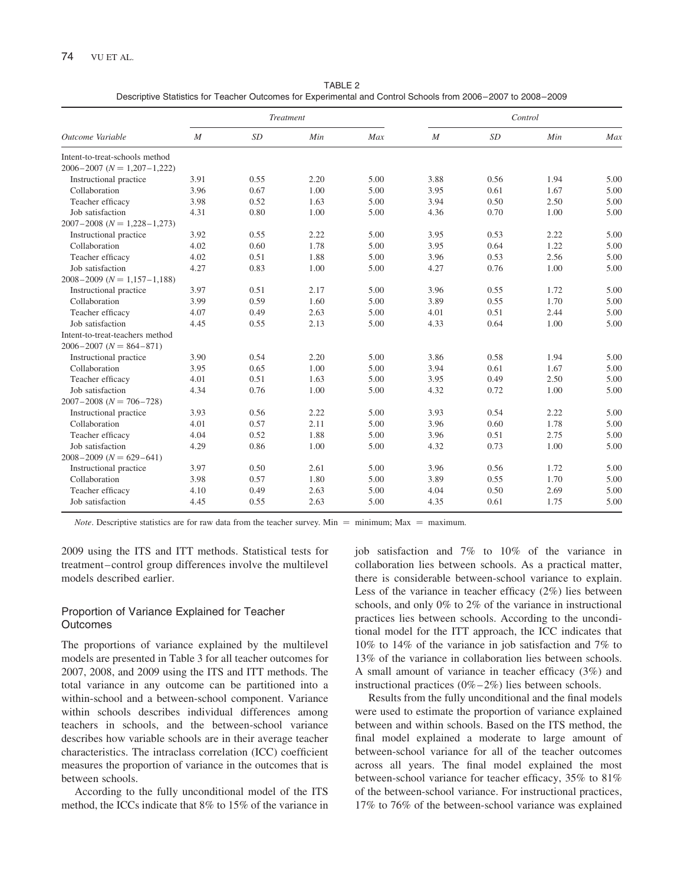| Outcome Variable                      |      |      | Treatment |      | Control |      |      |      |
|---------------------------------------|------|------|-----------|------|---------|------|------|------|
|                                       | M    | SD   | Min       | Max  | M       | SD   | Min  | Max  |
| Intent-to-treat-schools method        |      |      |           |      |         |      |      |      |
| $2006 - 2007$ ( $N = 1,207 - 1,222$ ) |      |      |           |      |         |      |      |      |
| Instructional practice                | 3.91 | 0.55 | 2.20      | 5.00 | 3.88    | 0.56 | 1.94 | 5.00 |
| Collaboration                         | 3.96 | 0.67 | 1.00      | 5.00 | 3.95    | 0.61 | 1.67 | 5.00 |
| Teacher efficacy                      | 3.98 | 0.52 | 1.63      | 5.00 | 3.94    | 0.50 | 2.50 | 5.00 |
| Job satisfaction                      | 4.31 | 0.80 | 1.00      | 5.00 | 4.36    | 0.70 | 1.00 | 5.00 |
| $2007 - 2008$ ( $N = 1,228 - 1,273$ ) |      |      |           |      |         |      |      |      |
| Instructional practice                | 3.92 | 0.55 | 2.22      | 5.00 | 3.95    | 0.53 | 2.22 | 5.00 |
| Collaboration                         | 4.02 | 0.60 | 1.78      | 5.00 | 3.95    | 0.64 | 1.22 | 5.00 |
| Teacher efficacy                      | 4.02 | 0.51 | 1.88      | 5.00 | 3.96    | 0.53 | 2.56 | 5.00 |
| Job satisfaction                      | 4.27 | 0.83 | 1.00      | 5.00 | 4.27    | 0.76 | 1.00 | 5.00 |
| $2008 - 2009$ ( $N = 1,157 - 1,188$ ) |      |      |           |      |         |      |      |      |
| Instructional practice                | 3.97 | 0.51 | 2.17      | 5.00 | 3.96    | 0.55 | 1.72 | 5.00 |
| Collaboration                         | 3.99 | 0.59 | 1.60      | 5.00 | 3.89    | 0.55 | 1.70 | 5.00 |
| Teacher efficacy                      | 4.07 | 0.49 | 2.63      | 5.00 | 4.01    | 0.51 | 2.44 | 5.00 |
| Job satisfaction                      | 4.45 | 0.55 | 2.13      | 5.00 | 4.33    | 0.64 | 1.00 | 5.00 |
| Intent-to-treat-teachers method       |      |      |           |      |         |      |      |      |
| $2006 - 2007$ ( $N = 864 - 871$ )     |      |      |           |      |         |      |      |      |
| Instructional practice                | 3.90 | 0.54 | 2.20      | 5.00 | 3.86    | 0.58 | 1.94 | 5.00 |
| Collaboration                         | 3.95 | 0.65 | 1.00      | 5.00 | 3.94    | 0.61 | 1.67 | 5.00 |
| Teacher efficacy                      | 4.01 | 0.51 | 1.63      | 5.00 | 3.95    | 0.49 | 2.50 | 5.00 |
| Job satisfaction                      | 4.34 | 0.76 | 1.00      | 5.00 | 4.32    | 0.72 | 1.00 | 5.00 |
| $2007 - 2008$ ( $N = 706 - 728$ )     |      |      |           |      |         |      |      |      |
| Instructional practice                | 3.93 | 0.56 | 2.22      | 5.00 | 3.93    | 0.54 | 2.22 | 5.00 |
| Collaboration                         | 4.01 | 0.57 | 2.11      | 5.00 | 3.96    | 0.60 | 1.78 | 5.00 |
| Teacher efficacy                      | 4.04 | 0.52 | 1.88      | 5.00 | 3.96    | 0.51 | 2.75 | 5.00 |
| Job satisfaction                      | 4.29 | 0.86 | 1.00      | 5.00 | 4.32    | 0.73 | 1.00 | 5.00 |
| $2008 - 2009$ ( $N = 629 - 641$ )     |      |      |           |      |         |      |      |      |
| Instructional practice                | 3.97 | 0.50 | 2.61      | 5.00 | 3.96    | 0.56 | 1.72 | 5.00 |
| Collaboration                         | 3.98 | 0.57 | 1.80      | 5.00 | 3.89    | 0.55 | 1.70 | 5.00 |
| Teacher efficacy                      | 4.10 | 0.49 | 2.63      | 5.00 | 4.04    | 0.50 | 2.69 | 5.00 |
| Job satisfaction                      | 4.45 | 0.55 | 2.63      | 5.00 | 4.35    | 0.61 | 1.75 | 5.00 |

TABLE 2 Descriptive Statistics for Teacher Outcomes for Experimental and Control Schools from 2006–2007 to 2008–2009

*Note.* Descriptive statistics are for raw data from the teacher survey. Min  $=$  minimum; Max  $=$  maximum.

2009 using the ITS and ITT methods. Statistical tests for treatment –control group differences involve the multilevel models described earlier.

# Proportion of Variance Explained for Teacher **Outcomes**

The proportions of variance explained by the multilevel models are presented in Table 3 for all teacher outcomes for 2007, 2008, and 2009 using the ITS and ITT methods. The total variance in any outcome can be partitioned into a within-school and a between-school component. Variance within schools describes individual differences among teachers in schools, and the between-school variance describes how variable schools are in their average teacher characteristics. The intraclass correlation (ICC) coefficient measures the proportion of variance in the outcomes that is between schools.

According to the fully unconditional model of the ITS method, the ICCs indicate that 8% to 15% of the variance in job satisfaction and 7% to 10% of the variance in collaboration lies between schools. As a practical matter, there is considerable between-school variance to explain. Less of the variance in teacher efficacy (2%) lies between schools, and only 0% to 2% of the variance in instructional practices lies between schools. According to the unconditional model for the ITT approach, the ICC indicates that 10% to 14% of the variance in job satisfaction and 7% to 13% of the variance in collaboration lies between schools. A small amount of variance in teacher efficacy (3%) and instructional practices  $(0\%-2\%)$  lies between schools.

Results from the fully unconditional and the final models were used to estimate the proportion of variance explained between and within schools. Based on the ITS method, the final model explained a moderate to large amount of between-school variance for all of the teacher outcomes across all years. The final model explained the most between-school variance for teacher efficacy, 35% to 81% of the between-school variance. For instructional practices, 17% to 76% of the between-school variance was explained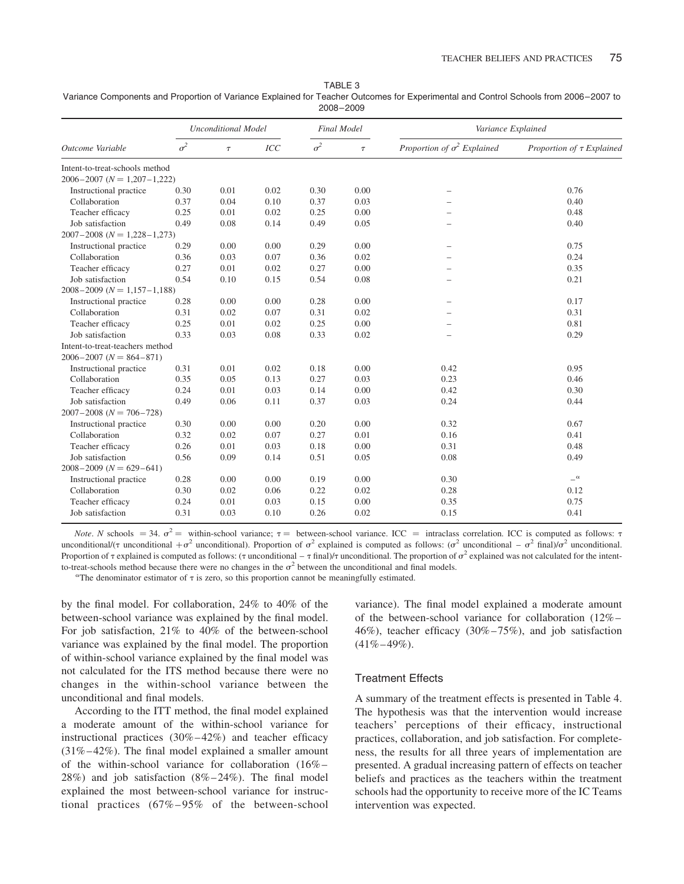TABLE 3

Variance Components and Proportion of Variance Explained for Teacher Outcomes for Experimental and Control Schools from 2006–2007 to 2008–2009

| –∪ບບ<br>Luu                           |                            |        |      |                    |        |                                    |                                |  |
|---------------------------------------|----------------------------|--------|------|--------------------|--------|------------------------------------|--------------------------------|--|
|                                       | <b>Unconditional Model</b> |        |      | <b>Final Model</b> |        | Variance Explained                 |                                |  |
| Outcome Variable                      | $\sigma^2$                 | $\tau$ | ICC  | $\sigma^2$         | $\tau$ | Proportion of $\sigma^2$ Explained | Proportion of $\tau$ Explained |  |
| Intent-to-treat-schools method        |                            |        |      |                    |        |                                    |                                |  |
| $2006 - 2007$ ( $N = 1,207 - 1,222$ ) |                            |        |      |                    |        |                                    |                                |  |
| Instructional practice                | 0.30                       | 0.01   | 0.02 | 0.30               | 0.00   |                                    | 0.76                           |  |
| Collaboration                         | 0.37                       | 0.04   | 0.10 | 0.37               | 0.03   |                                    | 0.40                           |  |
| Teacher efficacy                      | 0.25                       | 0.01   | 0.02 | 0.25               | 0.00   |                                    | 0.48                           |  |
| Job satisfaction                      | 0.49                       | 0.08   | 0.14 | 0.49               | 0.05   |                                    | 0.40                           |  |
| $2007 - 2008$ ( $N = 1,228 - 1,273$ ) |                            |        |      |                    |        |                                    |                                |  |
| Instructional practice                | 0.29                       | 0.00   | 0.00 | 0.29               | 0.00   |                                    | 0.75                           |  |
| Collaboration                         | 0.36                       | 0.03   | 0.07 | 0.36               | 0.02   |                                    | 0.24                           |  |
| Teacher efficacy                      | 0.27                       | 0.01   | 0.02 | 0.27               | 0.00   |                                    | 0.35                           |  |
| Job satisfaction                      | 0.54                       | 0.10   | 0.15 | 0.54               | 0.08   |                                    | 0.21                           |  |
| $2008 - 2009$ ( $N = 1,157 - 1,188$ ) |                            |        |      |                    |        |                                    |                                |  |
| Instructional practice                | 0.28                       | 0.00   | 0.00 | 0.28               | 0.00   |                                    | 0.17                           |  |
| Collaboration                         | 0.31                       | 0.02   | 0.07 | 0.31               | 0.02   |                                    | 0.31                           |  |
| Teacher efficacy                      | 0.25                       | 0.01   | 0.02 | 0.25               | 0.00   |                                    | 0.81                           |  |
| Job satisfaction                      | 0.33                       | 0.03   | 0.08 | 0.33               | 0.02   |                                    | 0.29                           |  |
| Intent-to-treat-teachers method       |                            |        |      |                    |        |                                    |                                |  |
| $2006 - 2007$ ( $N = 864 - 871$ )     |                            |        |      |                    |        |                                    |                                |  |
| Instructional practice                | 0.31                       | 0.01   | 0.02 | 0.18               | 0.00   | 0.42                               | 0.95                           |  |
| Collaboration                         | 0.35                       | 0.05   | 0.13 | 0.27               | 0.03   | 0.23                               | 0.46                           |  |
| Teacher efficacy                      | 0.24                       | 0.01   | 0.03 | 0.14               | 0.00   | 0.42                               | 0.30                           |  |
| Job satisfaction                      | 0.49                       | 0.06   | 0.11 | 0.37               | 0.03   | 0.24                               | 0.44                           |  |
| $2007 - 2008$ ( $N = 706 - 728$ )     |                            |        |      |                    |        |                                    |                                |  |
| Instructional practice                | 0.30                       | 0.00   | 0.00 | 0.20               | 0.00   | 0.32                               | 0.67                           |  |
| Collaboration                         | 0.32                       | 0.02   | 0.07 | 0.27               | 0.01   | 0.16                               | 0.41                           |  |
| Teacher efficacy                      | 0.26                       | 0.01   | 0.03 | 0.18               | 0.00   | 0.31                               | 0.48                           |  |
| Job satisfaction                      | 0.56                       | 0.09   | 0.14 | 0.51               | 0.05   | 0.08                               | 0.49                           |  |
| $2008 - 2009$ ( $N = 629 - 641$ )     |                            |        |      |                    |        |                                    |                                |  |
| Instructional practice                | 0.28                       | 0.00   | 0.00 | 0.19               | 0.00   | 0.30                               | $-^\alpha$                     |  |
| Collaboration                         | 0.30                       | 0.02   | 0.06 | 0.22               | 0.02   | 0.28                               | 0.12                           |  |
| Teacher efficacy                      | 0.24                       | 0.01   | 0.03 | 0.15               | 0.00   | 0.35                               | 0.75                           |  |
| Job satisfaction                      | 0.31                       | 0.03   | 0.10 | 0.26               | 0.02   | 0.15                               | 0.41                           |  |
|                                       |                            |        |      |                    |        |                                    |                                |  |

*Note.* N schools = 34.  $\sigma^2$  = within-school variance;  $\tau$  = between-school variance. ICC = intraclass correlation. ICC is computed as follows:  $\tau$ unconditional/( $\tau$  unconditional  $+\sigma^2$  unconditional). Proportion of  $\sigma^2$  explained is computed as follows: ( $\sigma^2$  unconditional –  $\sigma^2$  final)/ $\sigma^2$  unconditional. Proportion of  $\tau$  explained is computed as follows: ( $\tau$  unconditional –  $\tau$  final)/ $\tau$  unconditional. The proportion of  $\sigma^2$  explained was not calculated for the intentto-treat-schools method because there were no changes in the  $\sigma^2$  between the unconditional and final models.

"The denominator estimator of  $\tau$  is zero, so this proportion cannot be meaningfully estimated.

by the final model. For collaboration, 24% to 40% of the between-school variance was explained by the final model. For job satisfaction, 21% to 40% of the between-school variance was explained by the final model. The proportion of within-school variance explained by the final model was not calculated for the ITS method because there were no changes in the within-school variance between the unconditional and final models.

According to the ITT method, the final model explained a moderate amount of the within-school variance for instructional practices (30% – 42%) and teacher efficacy  $(31\% - 42\%)$ . The final model explained a smaller amount of the within-school variance for collaboration (16% – 28%) and job satisfaction  $(8\%-24\%)$ . The final model explained the most between-school variance for instructional practices  $(67\% - 95\%$  of the between-school variance). The final model explained a moderate amount of the between-school variance for collaboration (12% – 46%), teacher efficacy (30% –75%), and job satisfaction  $(41\% - 49\%)$ .

#### Treatment Effects

A summary of the treatment effects is presented in Table 4. The hypothesis was that the intervention would increase teachers' perceptions of their efficacy, instructional practices, collaboration, and job satisfaction. For completeness, the results for all three years of implementation are presented. A gradual increasing pattern of effects on teacher beliefs and practices as the teachers within the treatment schools had the opportunity to receive more of the IC Teams intervention was expected.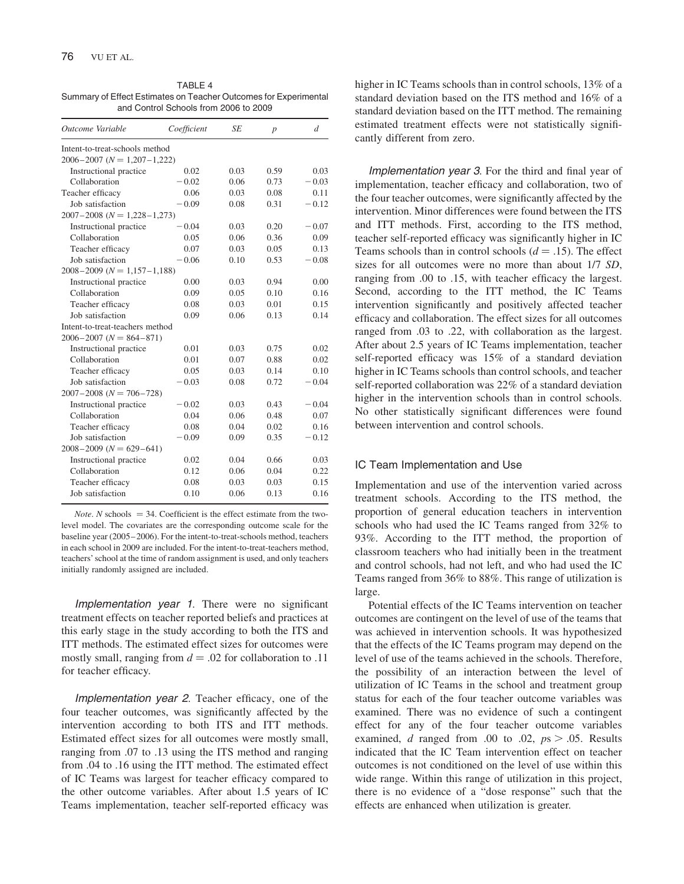TABLE 4 Summary of Effect Estimates on Teacher Outcomes for Experimental and Control Schools from 2006 to 2009

| Outcome Variable                                                     | Coefficient | SE   | $\boldsymbol{p}$ | d       |
|----------------------------------------------------------------------|-------------|------|------------------|---------|
| Intent-to-treat-schools method                                       |             |      |                  |         |
| $2006 - 2007$ ( $N = 1,207 - 1,222$ )                                |             |      |                  |         |
| Instructional practice                                               | 0.02        | 0.03 | 0.59             | 0.03    |
| Collaboration                                                        | $-0.02$     | 0.06 | 0.73             | $-0.03$ |
| Teacher efficacy                                                     | 0.06        | 0.03 | 0.08             | 0.11    |
| Job satisfaction                                                     | $-0.09$     | 0.08 | 0.31             | $-0.12$ |
| $2007 - 2008$ ( $N = 1,228 - 1,273$ )                                |             |      |                  |         |
| Instructional practice                                               | $-0.04$     | 0.03 | 0.20             | $-0.07$ |
| Collaboration                                                        | 0.05        | 0.06 | 0.36             | 0.09    |
| Teacher efficacy                                                     | 0.07        | 0.03 | 0.05             | 0.13    |
| Job satisfaction                                                     | $-0.06$     | 0.10 | 0.53             | $-0.08$ |
| $2008 - 2009$ ( $N = 1,157 - 1,188$ )                                |             |      |                  |         |
| Instructional practice                                               | 0.00        | 0.03 | 0.94             | 0.00    |
| Collaboration                                                        | 0.09        | 0.05 | 0.10             | 0.16    |
| Teacher efficacy                                                     | 0.08        | 0.03 | 0.01             | 0.15    |
| Job satisfaction                                                     | 0.09        | 0.06 | 0.13             | 0.14    |
| Intent-to-treat-teachers method<br>$2006 - 2007$ ( $N = 864 - 871$ ) |             |      |                  |         |
| Instructional practice                                               | 0.01        | 0.03 | 0.75             | 0.02    |
| Collaboration                                                        | 0.01        | 0.07 | 0.88             | 0.02    |
| Teacher efficacy                                                     | 0.05        | 0.03 | 0.14             | 0.10    |
| Job satisfaction                                                     | $-0.03$     | 0.08 | 0.72             | $-0.04$ |
| $2007 - 2008$ ( $N = 706 - 728$ )                                    |             |      |                  |         |
| Instructional practice                                               | $-0.02$     | 0.03 | 0.43             | $-0.04$ |
| Collaboration                                                        | 0.04        | 0.06 | 0.48             | 0.07    |
| Teacher efficacy                                                     | 0.08        | 0.04 | 0.02             | 0.16    |
| Job satisfaction                                                     | $-0.09$     | 0.09 | 0.35             | $-0.12$ |
| $2008 - 2009$ ( $N = 629 - 641$ )                                    |             |      |                  |         |
| Instructional practice                                               | 0.02        | 0.04 | 0.66             | 0.03    |
| Collaboration                                                        | 0.12        | 0.06 | 0.04             | 0.22    |
| Teacher efficacy                                                     | 0.08        | 0.03 | 0.03             | 0.15    |
| Job satisfaction                                                     | 0.10        | 0.06 | 0.13             | 0.16    |

*Note.* N schools  $=$  34. Coefficient is the effect estimate from the twolevel model. The covariates are the corresponding outcome scale for the baseline year (2005–2006). For the intent-to-treat-schools method, teachers in each school in 2009 are included. For the intent-to-treat-teachers method, teachers' school at the time of random assignment is used, and only teachers initially randomly assigned are included.

Implementation year 1. There were no significant treatment effects on teacher reported beliefs and practices at this early stage in the study according to both the ITS and ITT methods. The estimated effect sizes for outcomes were mostly small, ranging from  $d = .02$  for collaboration to .11 for teacher efficacy.

Implementation year 2. Teacher efficacy, one of the four teacher outcomes, was significantly affected by the intervention according to both ITS and ITT methods. Estimated effect sizes for all outcomes were mostly small, ranging from .07 to .13 using the ITS method and ranging from .04 to .16 using the ITT method. The estimated effect of IC Teams was largest for teacher efficacy compared to the other outcome variables. After about 1.5 years of IC Teams implementation, teacher self-reported efficacy was

higher in IC Teams schools than in control schools, 13% of a standard deviation based on the ITS method and 16% of a standard deviation based on the ITT method. The remaining estimated treatment effects were not statistically significantly different from zero.

Implementation year 3. For the third and final year of implementation, teacher efficacy and collaboration, two of the four teacher outcomes, were significantly affected by the intervention. Minor differences were found between the ITS and ITT methods. First, according to the ITS method, teacher self-reported efficacy was significantly higher in IC Teams schools than in control schools  $(d = .15)$ . The effect sizes for all outcomes were no more than about 1/7 SD, ranging from .00 to .15, with teacher efficacy the largest. Second, according to the ITT method, the IC Teams intervention significantly and positively affected teacher efficacy and collaboration. The effect sizes for all outcomes ranged from .03 to .22, with collaboration as the largest. After about 2.5 years of IC Teams implementation, teacher self-reported efficacy was 15% of a standard deviation higher in IC Teams schools than control schools, and teacher self-reported collaboration was 22% of a standard deviation higher in the intervention schools than in control schools. No other statistically significant differences were found between intervention and control schools.

## IC Team Implementation and Use

Implementation and use of the intervention varied across treatment schools. According to the ITS method, the proportion of general education teachers in intervention schools who had used the IC Teams ranged from 32% to 93%. According to the ITT method, the proportion of classroom teachers who had initially been in the treatment and control schools, had not left, and who had used the IC Teams ranged from 36% to 88%. This range of utilization is large.

Potential effects of the IC Teams intervention on teacher outcomes are contingent on the level of use of the teams that was achieved in intervention schools. It was hypothesized that the effects of the IC Teams program may depend on the level of use of the teams achieved in the schools. Therefore, the possibility of an interaction between the level of utilization of IC Teams in the school and treatment group status for each of the four teacher outcome variables was examined. There was no evidence of such a contingent effect for any of the four teacher outcome variables examined, d ranged from .00 to .02,  $ps > .05$ . Results indicated that the IC Team intervention effect on teacher outcomes is not conditioned on the level of use within this wide range. Within this range of utilization in this project, there is no evidence of a "dose response" such that the effects are enhanced when utilization is greater.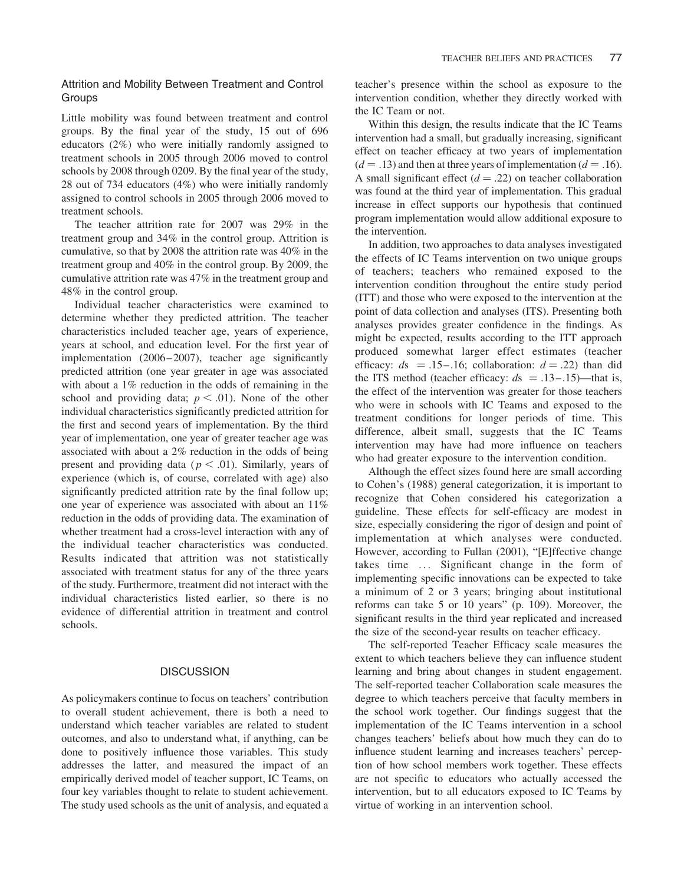# Attrition and Mobility Between Treatment and Control **Groups**

Little mobility was found between treatment and control groups. By the final year of the study, 15 out of 696 educators (2%) who were initially randomly assigned to treatment schools in 2005 through 2006 moved to control schools by 2008 through 0209. By the final year of the study, 28 out of 734 educators (4%) who were initially randomly assigned to control schools in 2005 through 2006 moved to treatment schools.

The teacher attrition rate for 2007 was 29% in the treatment group and 34% in the control group. Attrition is cumulative, so that by 2008 the attrition rate was 40% in the treatment group and 40% in the control group. By 2009, the cumulative attrition rate was 47% in the treatment group and 48% in the control group.

Individual teacher characteristics were examined to determine whether they predicted attrition. The teacher characteristics included teacher age, years of experience, years at school, and education level. For the first year of implementation (2006 –2007), teacher age significantly predicted attrition (one year greater in age was associated with about a 1% reduction in the odds of remaining in the school and providing data;  $p < .01$ ). None of the other individual characteristics significantly predicted attrition for the first and second years of implementation. By the third year of implementation, one year of greater teacher age was associated with about a 2% reduction in the odds of being present and providing data ( $p < .01$ ). Similarly, years of experience (which is, of course, correlated with age) also significantly predicted attrition rate by the final follow up; one year of experience was associated with about an 11% reduction in the odds of providing data. The examination of whether treatment had a cross-level interaction with any of the individual teacher characteristics was conducted. Results indicated that attrition was not statistically associated with treatment status for any of the three years of the study. Furthermore, treatment did not interact with the individual characteristics listed earlier, so there is no evidence of differential attrition in treatment and control schools.

#### **DISCUSSION**

As policymakers continue to focus on teachers' contribution to overall student achievement, there is both a need to understand which teacher variables are related to student outcomes, and also to understand what, if anything, can be done to positively influence those variables. This study addresses the latter, and measured the impact of an empirically derived model of teacher support, IC Teams, on four key variables thought to relate to student achievement. The study used schools as the unit of analysis, and equated a teacher's presence within the school as exposure to the intervention condition, whether they directly worked with the IC Team or not.

Within this design, the results indicate that the IC Teams intervention had a small, but gradually increasing, significant effect on teacher efficacy at two years of implementation  $(d = .13)$  and then at three years of implementation  $(d = .16)$ . A small significant effect  $(d = .22)$  on teacher collaboration was found at the third year of implementation. This gradual increase in effect supports our hypothesis that continued program implementation would allow additional exposure to the intervention.

In addition, two approaches to data analyses investigated the effects of IC Teams intervention on two unique groups of teachers; teachers who remained exposed to the intervention condition throughout the entire study period (ITT) and those who were exposed to the intervention at the point of data collection and analyses (ITS). Presenting both analyses provides greater confidence in the findings. As might be expected, results according to the ITT approach produced somewhat larger effect estimates (teacher efficacy:  $ds = .15-.16$ ; collaboration:  $d = .22$ ) than did the ITS method (teacher efficacy:  $ds = .13 - .15$ )—that is, the effect of the intervention was greater for those teachers who were in schools with IC Teams and exposed to the treatment conditions for longer periods of time. This difference, albeit small, suggests that the IC Teams intervention may have had more influence on teachers who had greater exposure to the intervention condition.

Although the effect sizes found here are small according to Cohen's (1988) general categorization, it is important to recognize that Cohen considered his categorization a guideline. These effects for self-efficacy are modest in size, especially considering the rigor of design and point of implementation at which analyses were conducted. However, according to Fullan (2001), "[E]ffective change takes time ... Significant change in the form of implementing specific innovations can be expected to take a minimum of 2 or 3 years; bringing about institutional reforms can take 5 or 10 years" (p. 109). Moreover, the significant results in the third year replicated and increased the size of the second-year results on teacher efficacy.

The self-reported Teacher Efficacy scale measures the extent to which teachers believe they can influence student learning and bring about changes in student engagement. The self-reported teacher Collaboration scale measures the degree to which teachers perceive that faculty members in the school work together. Our findings suggest that the implementation of the IC Teams intervention in a school changes teachers' beliefs about how much they can do to influence student learning and increases teachers' perception of how school members work together. These effects are not specific to educators who actually accessed the intervention, but to all educators exposed to IC Teams by virtue of working in an intervention school.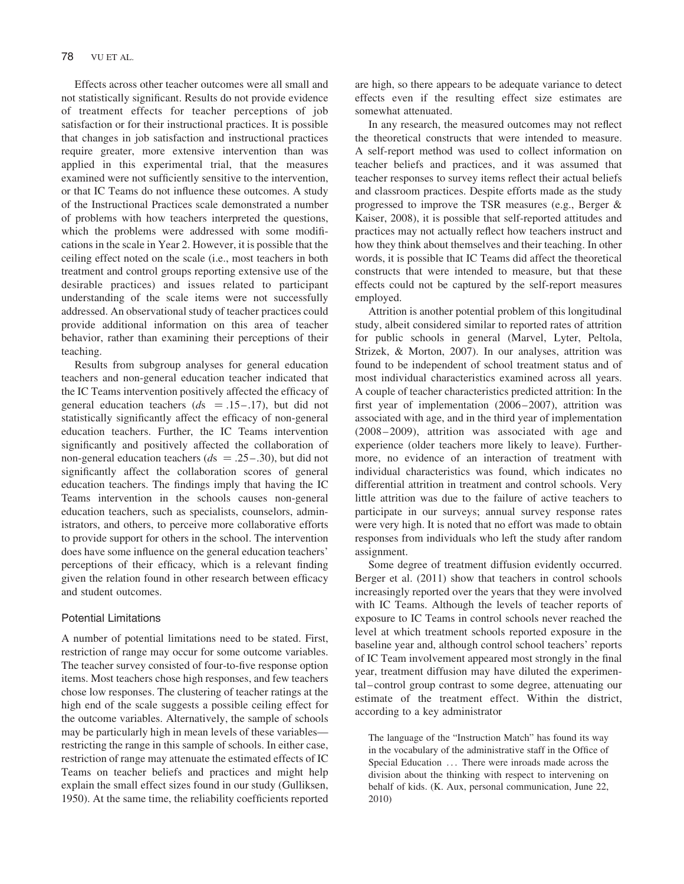Effects across other teacher outcomes were all small and not statistically significant. Results do not provide evidence of treatment effects for teacher perceptions of job satisfaction or for their instructional practices. It is possible that changes in job satisfaction and instructional practices require greater, more extensive intervention than was applied in this experimental trial, that the measures examined were not sufficiently sensitive to the intervention, or that IC Teams do not influence these outcomes. A study of the Instructional Practices scale demonstrated a number of problems with how teachers interpreted the questions, which the problems were addressed with some modifications in the scale in Year 2. However, it is possible that the ceiling effect noted on the scale (i.e., most teachers in both treatment and control groups reporting extensive use of the desirable practices) and issues related to participant understanding of the scale items were not successfully addressed. An observational study of teacher practices could provide additional information on this area of teacher behavior, rather than examining their perceptions of their teaching.

Results from subgroup analyses for general education teachers and non-general education teacher indicated that the IC Teams intervention positively affected the efficacy of general education teachers  $(ds = .15-.17)$ , but did not statistically significantly affect the efficacy of non-general education teachers. Further, the IC Teams intervention significantly and positively affected the collaboration of non-general education teachers ( $ds = .25 - .30$ ), but did not significantly affect the collaboration scores of general education teachers. The findings imply that having the IC Teams intervention in the schools causes non-general education teachers, such as specialists, counselors, administrators, and others, to perceive more collaborative efforts to provide support for others in the school. The intervention does have some influence on the general education teachers' perceptions of their efficacy, which is a relevant finding given the relation found in other research between efficacy and student outcomes.

## Potential Limitations

A number of potential limitations need to be stated. First, restriction of range may occur for some outcome variables. The teacher survey consisted of four-to-five response option items. Most teachers chose high responses, and few teachers chose low responses. The clustering of teacher ratings at the high end of the scale suggests a possible ceiling effect for the outcome variables. Alternatively, the sample of schools may be particularly high in mean levels of these variables restricting the range in this sample of schools. In either case, restriction of range may attenuate the estimated effects of IC Teams on teacher beliefs and practices and might help explain the small effect sizes found in our study (Gulliksen, 1950). At the same time, the reliability coefficients reported

are high, so there appears to be adequate variance to detect effects even if the resulting effect size estimates are somewhat attenuated.

In any research, the measured outcomes may not reflect the theoretical constructs that were intended to measure. A self-report method was used to collect information on teacher beliefs and practices, and it was assumed that teacher responses to survey items reflect their actual beliefs and classroom practices. Despite efforts made as the study progressed to improve the TSR measures (e.g., Berger & Kaiser, 2008), it is possible that self-reported attitudes and practices may not actually reflect how teachers instruct and how they think about themselves and their teaching. In other words, it is possible that IC Teams did affect the theoretical constructs that were intended to measure, but that these effects could not be captured by the self-report measures employed.

Attrition is another potential problem of this longitudinal study, albeit considered similar to reported rates of attrition for public schools in general (Marvel, Lyter, Peltola, Strizek, & Morton, 2007). In our analyses, attrition was found to be independent of school treatment status and of most individual characteristics examined across all years. A couple of teacher characteristics predicted attrition: In the first year of implementation (2006 –2007), attrition was associated with age, and in the third year of implementation (2008 – 2009), attrition was associated with age and experience (older teachers more likely to leave). Furthermore, no evidence of an interaction of treatment with individual characteristics was found, which indicates no differential attrition in treatment and control schools. Very little attrition was due to the failure of active teachers to participate in our surveys; annual survey response rates were very high. It is noted that no effort was made to obtain responses from individuals who left the study after random assignment.

Some degree of treatment diffusion evidently occurred. Berger et al. (2011) show that teachers in control schools increasingly reported over the years that they were involved with IC Teams. Although the levels of teacher reports of exposure to IC Teams in control schools never reached the level at which treatment schools reported exposure in the baseline year and, although control school teachers' reports of IC Team involvement appeared most strongly in the final year, treatment diffusion may have diluted the experimental –control group contrast to some degree, attenuating our estimate of the treatment effect. Within the district, according to a key administrator

The language of the "Instruction Match" has found its way in the vocabulary of the administrative staff in the Office of Special Education ... There were inroads made across the division about the thinking with respect to intervening on behalf of kids. (K. Aux, personal communication, June 22, 2010)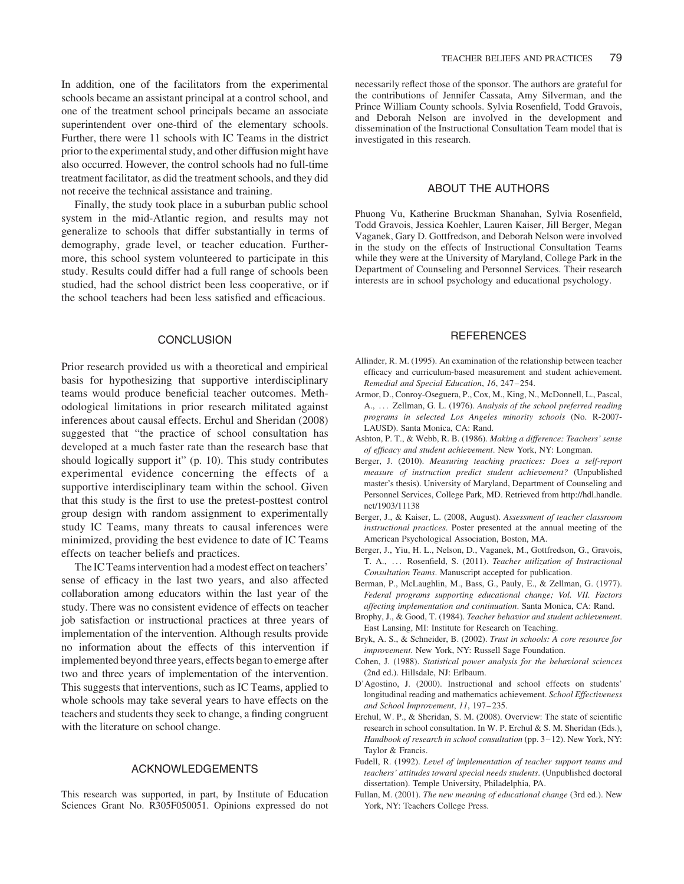In addition, one of the facilitators from the experimental schools became an assistant principal at a control school, and one of the treatment school principals became an associate superintendent over one-third of the elementary schools. Further, there were 11 schools with IC Teams in the district prior to the experimental study, and other diffusion might have also occurred. However, the control schools had no full-time treatment facilitator, as did the treatment schools, and they did not receive the technical assistance and training.

Finally, the study took place in a suburban public school system in the mid-Atlantic region, and results may not generalize to schools that differ substantially in terms of demography, grade level, or teacher education. Furthermore, this school system volunteered to participate in this study. Results could differ had a full range of schools been studied, had the school district been less cooperative, or if the school teachers had been less satisfied and efficacious.

## **CONCLUSION**

Prior research provided us with a theoretical and empirical basis for hypothesizing that supportive interdisciplinary teams would produce beneficial teacher outcomes. Methodological limitations in prior research militated against inferences about causal effects. Erchul and Sheridan (2008) suggested that "the practice of school consultation has developed at a much faster rate than the research base that should logically support it" (p. 10). This study contributes experimental evidence concerning the effects of a supportive interdisciplinary team within the school. Given that this study is the first to use the pretest-posttest control group design with random assignment to experimentally study IC Teams, many threats to causal inferences were minimized, providing the best evidence to date of IC Teams effects on teacher beliefs and practices.

The IC Teams intervention had a modest effect onteachers' sense of efficacy in the last two years, and also affected collaboration among educators within the last year of the study. There was no consistent evidence of effects on teacher job satisfaction or instructional practices at three years of implementation of the intervention. Although results provide no information about the effects of this intervention if implemented beyond three years, effects began to emerge after two and three years of implementation of the intervention. This suggests that interventions, such as IC Teams, applied to whole schools may take several years to have effects on the teachers and students they seek to change, a finding congruent with the literature on school change.

#### ACKNOWLEDGEMENTS

This research was supported, in part, by Institute of Education Sciences Grant No. R305F050051. Opinions expressed do not necessarily reflect those of the sponsor. The authors are grateful for the contributions of Jennifer Cassata, Amy Silverman, and the Prince William County schools. Sylvia Rosenfield, Todd Gravois, and Deborah Nelson are involved in the development and dissemination of the Instructional Consultation Team model that is investigated in this research.

#### ABOUT THE AUTHORS

Phuong Vu, Katherine Bruckman Shanahan, Sylvia Rosenfield, Todd Gravois, Jessica Koehler, Lauren Kaiser, Jill Berger, Megan Vaganek, Gary D. Gottfredson, and Deborah Nelson were involved in the study on the effects of Instructional Consultation Teams while they were at the University of Maryland, College Park in the Department of Counseling and Personnel Services. Their research interests are in school psychology and educational psychology.

#### **REFERENCES**

- Allinder, R. M. (1995). An examination of the relationship between teacher efficacy and curriculum-based measurement and student achievement. Remedial and Special Education, 16, 247–254.
- Armor, D., Conroy-Oseguera, P., Cox, M., King, N., McDonnell, L., Pascal, A., ... Zellman, G. L. (1976). Analysis of the school preferred reading programs in selected Los Angeles minority schools (No. R-2007- LAUSD). Santa Monica, CA: Rand.
- Ashton, P. T., & Webb, R. B. (1986). Making a difference: Teachers' sense of efficacy and student achievement. New York, NY: Longman.
- Berger, J. (2010). Measuring teaching practices: Does a self-report measure of instruction predict student achievement? (Unpublished master's thesis). University of Maryland, Department of Counseling and Personnel Services, College Park, MD. Retrieved from [http://hdl.handle.](http://hdl.handle.net/1903/11138) [net/1903/11138](http://hdl.handle.net/1903/11138)
- Berger, J., & Kaiser, L. (2008, August). Assessment of teacher classroom instructional practices. Poster presented at the annual meeting of the American Psychological Association, Boston, MA.
- Berger, J., Yiu, H. L., Nelson, D., Vaganek, M., Gottfredson, G., Gravois, T. A., ... Rosenfield, S. (2011). Teacher utilization of Instructional Consultation Teams. Manuscript accepted for publication.
- Berman, P., McLaughlin, M., Bass, G., Pauly, E., & Zellman, G. (1977). Federal programs supporting educational change; Vol. VII. Factors affecting implementation and continuation. Santa Monica, CA: Rand.
- Brophy, J., & Good, T. (1984). Teacher behavior and student achievement. East Lansing, MI: Institute for Research on Teaching.
- Bryk, A. S., & Schneider, B. (2002). Trust in schools: A core resource for improvement. New York, NY: Russell Sage Foundation.
- Cohen, J. (1988). Statistical power analysis for the behavioral sciences (2nd ed.). Hillsdale, NJ: Erlbaum.
- D'Agostino, J. (2000). Instructional and school effects on students' longitudinal reading and mathematics achievement. School Effectiveness and School Improvement, 11, 197-235.
- Erchul, W. P., & Sheridan, S. M. (2008). Overview: The state of scientific research in school consultation. In W. P. Erchul & S. M. Sheridan (Eds.), Handbook of research in school consultation (pp. 3–12). New York, NY: Taylor & Francis.
- Fudell, R. (1992). Level of implementation of teacher support teams and teachers' attitudes toward special needs students. (Unpublished doctoral dissertation). Temple University, Philadelphia, PA.
- Fullan, M. (2001). The new meaning of educational change (3rd ed.). New York, NY: Teachers College Press.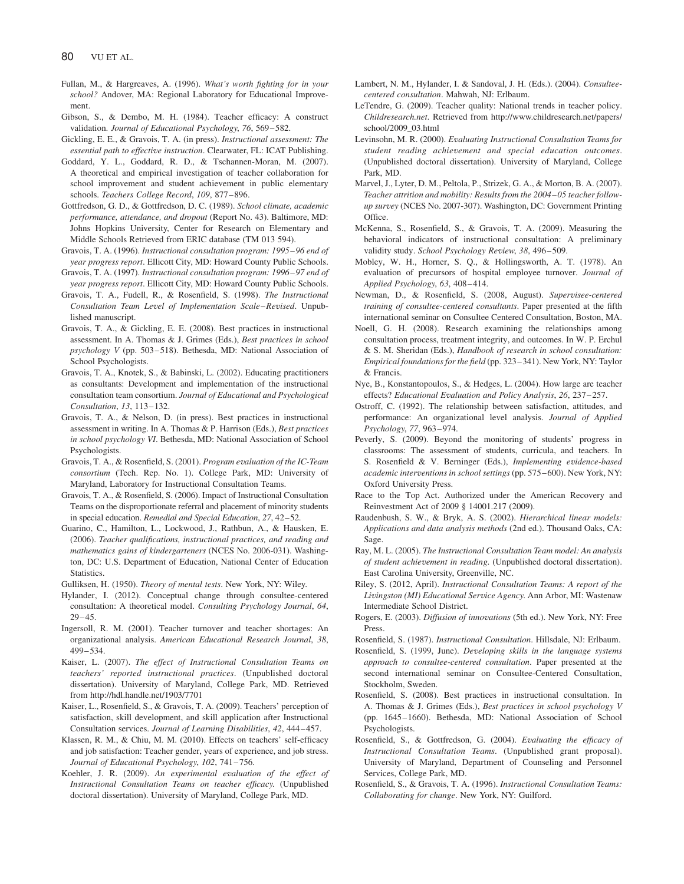- Fullan, M., & Hargreaves, A. (1996). What's worth fighting for in your school? Andover, MA: Regional Laboratory for Educational Improvement.
- Gibson, S., & Dembo, M. H. (1984). Teacher efficacy: A construct validation. Journal of Educational Psychology, 76, 569–582.
- Gickling, E. E., & Gravois, T. A. (in press). Instructional assessment: The essential path to effective instruction. Clearwater, FL: ICAT Publishing.
- Goddard, Y. L., Goddard, R. D., & Tschannen-Moran, M. (2007). A theoretical and empirical investigation of teacher collaboration for school improvement and student achievement in public elementary schools. Teachers College Record, 109, 877–896.
- Gottfredson, G. D., & Gottfredson, D. C. (1989). School climate, academic performance, attendance, and dropout (Report No. 43). Baltimore, MD: Johns Hopkins University, Center for Research on Elementary and Middle Schools Retrieved from ERIC database (TM 013 594).
- Gravois, T. A. (1996). Instructional consultation program: 1995–96 end of year progress report. Ellicott City, MD: Howard County Public Schools.
- Gravois, T. A. (1997). Instructional consultation program: 1996–97 end of year progress report. Ellicott City, MD: Howard County Public Schools. Gravois, T. A., Fudell, R., & Rosenfield, S. (1998). The Instructional
- Consultation Team Level of Implementation Scale –Revised. Unpublished manuscript.
- Gravois, T. A., & Gickling, E. E. (2008). Best practices in instructional assessment. In A. Thomas & J. Grimes (Eds.), Best practices in school psychology V (pp. 503 –518). Bethesda, MD: National Association of School Psychologists.
- Gravois, T. A., Knotek, S., & Babinski, L. (2002). Educating practitioners as consultants: Development and implementation of the instructional consultation team consortium. Journal of Educational and Psychological Consultation, 13, 113– 132.
- Gravois, T. A., & Nelson, D. (in press). Best practices in instructional assessment in writing. In A. Thomas & P. Harrison (Eds.), Best practices in school psychology VI. Bethesda, MD: National Association of School Psychologists.
- Gravois, T. A., & Rosenfield, S. (2001). Program evaluation of the IC-Team consortium (Tech. Rep. No. 1). College Park, MD: University of Maryland, Laboratory for Instructional Consultation Teams.
- Gravois, T. A., & Rosenfield, S. (2006). Impact of Instructional Consultation Teams on the disproportionate referral and placement of minority students in special education. Remedial and Special Education, 27, 42–52.
- Guarino, C., Hamilton, L., Lockwood, J., Rathbun, A., & Hausken, E. (2006). Teacher qualifications, instructional practices, and reading and mathematics gains of kindergarteners (NCES No. 2006-031). Washington, DC: U.S. Department of Education, National Center of Education Statistics.
- Gulliksen, H. (1950). Theory of mental tests. New York, NY: Wiley.
- Hylander, I. (2012). Conceptual change through consultee-centered consultation: A theoretical model. Consulting Psychology Journal, 64, 29–45.
- Ingersoll, R. M. (2001). Teacher turnover and teacher shortages: An organizational analysis. American Educational Research Journal, 38, 499–534.
- Kaiser, L. (2007). The effect of Instructional Consultation Teams on teachers' reported instructional practices. (Unpublished doctoral dissertation). University of Maryland, College Park, MD. Retrieved from<http://hdl.handle.net/1903/7701>
- Kaiser, L., Rosenfield, S., & Gravois, T. A. (2009). Teachers' perception of satisfaction, skill development, and skill application after Instructional Consultation services. Journal of Learning Disabilities, 42, 444–457.
- Klassen, R. M., & Chiu, M. M. (2010). Effects on teachers' self-efficacy and job satisfaction: Teacher gender, years of experience, and job stress. Journal of Educational Psychology, 102, 741-756.
- Koehler, J. R. (2009). An experimental evaluation of the effect of Instructional Consultation Teams on teacher efficacy. (Unpublished doctoral dissertation). University of Maryland, College Park, MD.
- Lambert, N. M., Hylander, I. & Sandoval, J. H. (Eds.). (2004). Consulteecentered consultation. Mahwah, NJ: Erlbaum.
- LeTendre, G. (2009). Teacher quality: National trends in teacher policy. <Childresearch.net>. Retrieved from [http://www.childresearch.net/papers/](http://www.childresearch.net/papers/school/2009_03.html) [school/2009\\_03.html](http://www.childresearch.net/papers/school/2009_03.html)
- Levinsohn, M. R. (2000). Evaluating Instructional Consultation Teams for student reading achievement and special education outcomes. (Unpublished doctoral dissertation). University of Maryland, College Park, MD.
- Marvel, J., Lyter, D. M., Peltola, P., Strizek, G. A., & Morton, B. A. (2007). Teacher attrition and mobility: Results from the 2004–05 teacher followup survey (NCES No. 2007-307). Washington, DC: Government Printing Office.
- McKenna, S., Rosenfield, S., & Gravois, T. A. (2009). Measuring the behavioral indicators of instructional consultation: A preliminary validity study. School Psychology Review, 38, 496–509.
- Mobley, W. H., Horner, S. Q., & Hollingsworth, A. T. (1978). An evaluation of precursors of hospital employee turnover. Journal of Applied Psychology, 63, 408–414.
- Newman, D., & Rosenfield, S. (2008, August). Supervisee-centered training of consultee-centered consultants. Paper presented at the fifth international seminar on Consultee Centered Consultation, Boston, MA.
- Noell, G. H. (2008). Research examining the relationships among consultation process, treatment integrity, and outcomes. In W. P. Erchul & S. M. Sheridan (Eds.), Handbook of research in school consultation: Empirical foundations for the field (pp. 323–341). New York, NY: Taylor & Francis.
- Nye, B., Konstantopoulos, S., & Hedges, L. (2004). How large are teacher effects? Educational Evaluation and Policy Analysis, 26, 237–257.
- Ostroff, C. (1992). The relationship between satisfaction, attitudes, and performance: An organizational level analysis. Journal of Applied Psychology, 77, 963–974.
- Peverly, S. (2009). Beyond the monitoring of students' progress in classrooms: The assessment of students, curricula, and teachers. In S. Rosenfield & V. Berninger (Eds.), Implementing evidence-based academic interventions in school settings (pp. 575 –600). New York, NY: Oxford University Press.
- Race to the Top Act. Authorized under the American Recovery and Reinvestment Act of 2009 § 14001.217 (2009).
- Raudenbush, S. W., & Bryk, A. S. (2002). Hierarchical linear models: Applications and data analysis methods (2nd ed.). Thousand Oaks, CA: Sage.
- Ray, M. L. (2005). The Instructional Consultation Team model: An analysis of student achievement in reading. (Unpublished doctoral dissertation). East Carolina University, Greenville, NC.
- Riley, S. (2012, April). Instructional Consultation Teams: A report of the Livingston (MI) Educational Service Agency. Ann Arbor, MI: Wastenaw Intermediate School District.
- Rogers, E. (2003). Diffusion of innovations (5th ed.). New York, NY: Free Press.
- Rosenfield, S. (1987). Instructional Consultation. Hillsdale, NJ: Erlbaum.
- Rosenfield, S. (1999, June). Developing skills in the language systems approach to consultee-centered consultation. Paper presented at the second international seminar on Consultee-Centered Consultation, Stockholm, Sweden.
- Rosenfield, S. (2008). Best practices in instructional consultation. In A. Thomas & J. Grimes (Eds.), Best practices in school psychology V (pp. 1645–1660). Bethesda, MD: National Association of School Psychologists.
- Rosenfield, S., & Gottfredson, G. (2004). Evaluating the efficacy of Instructional Consultation Teams. (Unpublished grant proposal). University of Maryland, Department of Counseling and Personnel Services, College Park, MD.
- Rosenfield, S., & Gravois, T. A. (1996). Instructional Consultation Teams: Collaborating for change. New York, NY: Guilford.